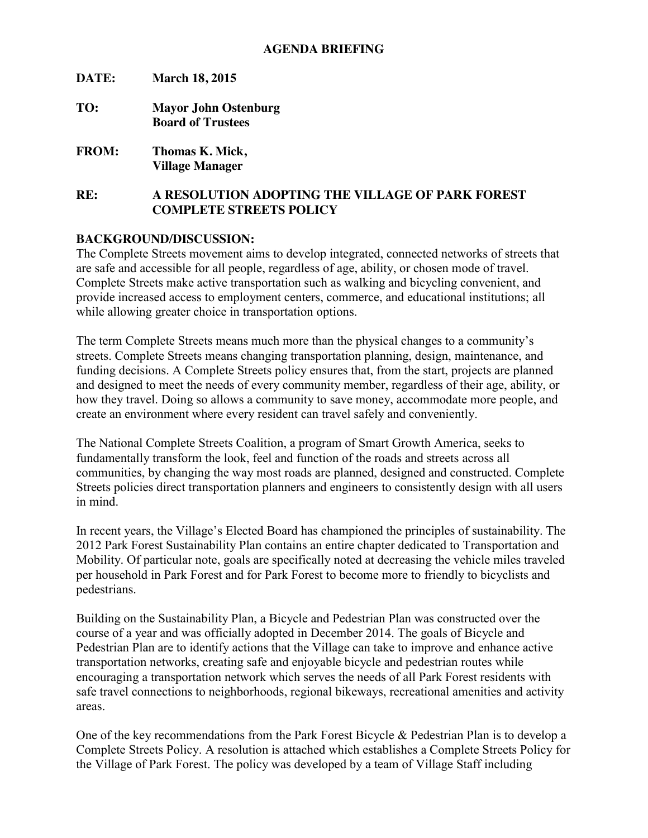**DATE: March 18, 2015 TO: Mayor John Ostenburg Board of Trustees FROM: Thomas K. Mick, Village Manager**

# **RE: A RESOLUTION ADOPTING THE VILLAGE OF PARK FOREST COMPLETE STREETS POLICY**

#### **BACKGROUND/DISCUSSION:**

The Complete Streets movement aims to develop integrated, connected networks of streets that are safe and accessible for all people, regardless of age, ability, or chosen mode of travel. Complete Streets make active transportation such as walking and bicycling convenient, and provide increased access to employment centers, commerce, and educational institutions; all while allowing greater choice in transportation options.

The term Complete Streets means much more than the physical changes to a community's streets. Complete Streets means changing transportation planning, design, maintenance, and funding decisions. A Complete Streets policy ensures that, from the start, projects are planned and designed to meet the needs of every community member, regardless of their age, ability, or how they travel. Doing so allows a community to save money, accommodate more people, and create an environment where every resident can travel safely and conveniently.

The National Complete Streets Coalition, a program of Smart Growth America, seeks to fundamentally transform the look, feel and function of the roads and streets across all communities, by changing the way most roads are planned, designed and constructed. Complete Streets policies direct transportation planners and engineers to consistently design with all users in mind.

In recent years, the Village's Elected Board has championed the principles of sustainability. The 2012 Park Forest Sustainability Plan contains an entire chapter dedicated to Transportation and Mobility. Of particular note, goals are specifically noted at decreasing the vehicle miles traveled per household in Park Forest and for Park Forest to become more to friendly to bicyclists and pedestrians.

Building on the Sustainability Plan, a Bicycle and Pedestrian Plan was constructed over the course of a year and was officially adopted in December 2014. The goals of Bicycle and Pedestrian Plan are to identify actions that the Village can take to improve and enhance active transportation networks, creating safe and enjoyable bicycle and pedestrian routes while encouraging a transportation network which serves the needs of all Park Forest residents with safe travel connections to neighborhoods, regional bikeways, recreational amenities and activity areas.

One of the key recommendations from the Park Forest Bicycle & Pedestrian Plan is to develop a Complete Streets Policy. A resolution is attached which establishes a Complete Streets Policy for the Village of Park Forest. The policy was developed by a team of Village Staff including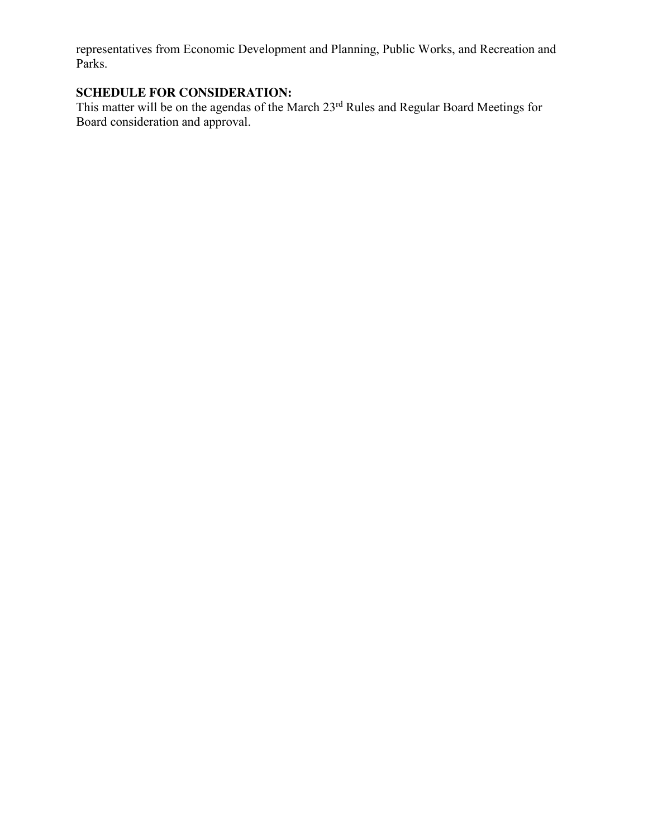representatives from Economic Development and Planning, Public Works, and Recreation and Parks.

# **SCHEDULE FOR CONSIDERATION:**

This matter will be on the agendas of the March 23<sup>rd</sup> Rules and Regular Board Meetings for Board consideration and approval.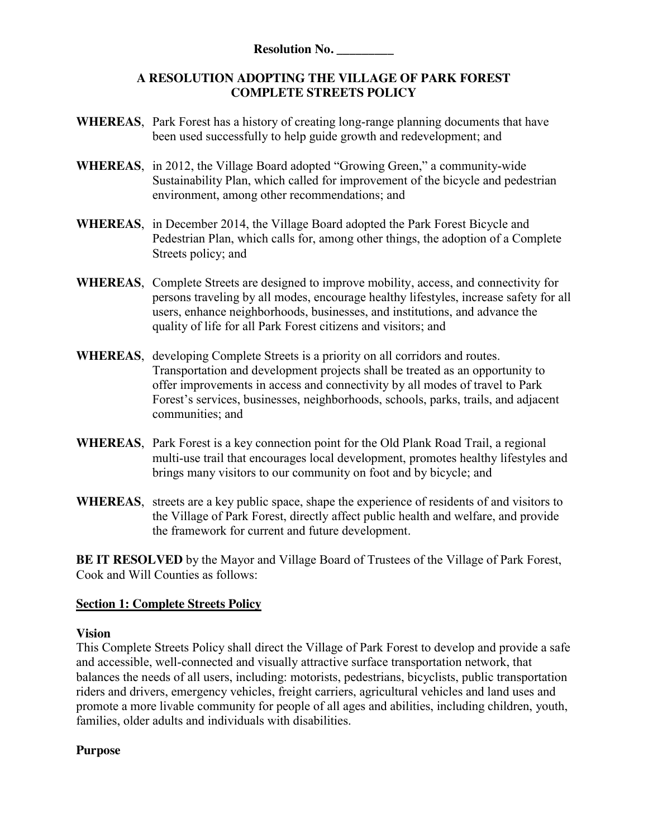## **A RESOLUTION ADOPTING THE VILLAGE OF PARK FOREST COMPLETE STREETS POLICY**

- **WHEREAS**, Park Forest has a history of creating long-range planning documents that have been used successfully to help guide growth and redevelopment; and
- **WHEREAS**, in 2012, the Village Board adopted "Growing Green," a community-wide Sustainability Plan, which called for improvement of the bicycle and pedestrian environment, among other recommendations; and
- **WHEREAS**, in December 2014, the Village Board adopted the Park Forest Bicycle and Pedestrian Plan, which calls for, among other things, the adoption of a Complete Streets policy; and
- **WHEREAS**, Complete Streets are designed to improve mobility, access, and connectivity for persons traveling by all modes, encourage healthy lifestyles, increase safety for all users, enhance neighborhoods, businesses, and institutions, and advance the quality of life for all Park Forest citizens and visitors; and
- **WHEREAS**, developing Complete Streets is a priority on all corridors and routes. Transportation and development projects shall be treated as an opportunity to offer improvements in access and connectivity by all modes of travel to Park Forest's services, businesses, neighborhoods, schools, parks, trails, and adjacent communities; and
- **WHEREAS**, Park Forest is a key connection point for the Old Plank Road Trail, a regional multi-use trail that encourages local development, promotes healthy lifestyles and brings many visitors to our community on foot and by bicycle; and
- **WHEREAS**, streets are a key public space, shape the experience of residents of and visitors to the Village of Park Forest, directly affect public health and welfare, and provide the framework for current and future development.

**BE IT RESOLVED** by the Mayor and Village Board of Trustees of the Village of Park Forest, Cook and Will Counties as follows:

## **Section 1: Complete Streets Policy**

## **Vision**

This Complete Streets Policy shall direct the Village of Park Forest to develop and provide a safe and accessible, well-connected and visually attractive surface transportation network, that balances the needs of all users, including: motorists, pedestrians, bicyclists, public transportation riders and drivers, emergency vehicles, freight carriers, agricultural vehicles and land uses and promote a more livable community for people of all ages and abilities, including children, youth, families, older adults and individuals with disabilities.

## **Purpose**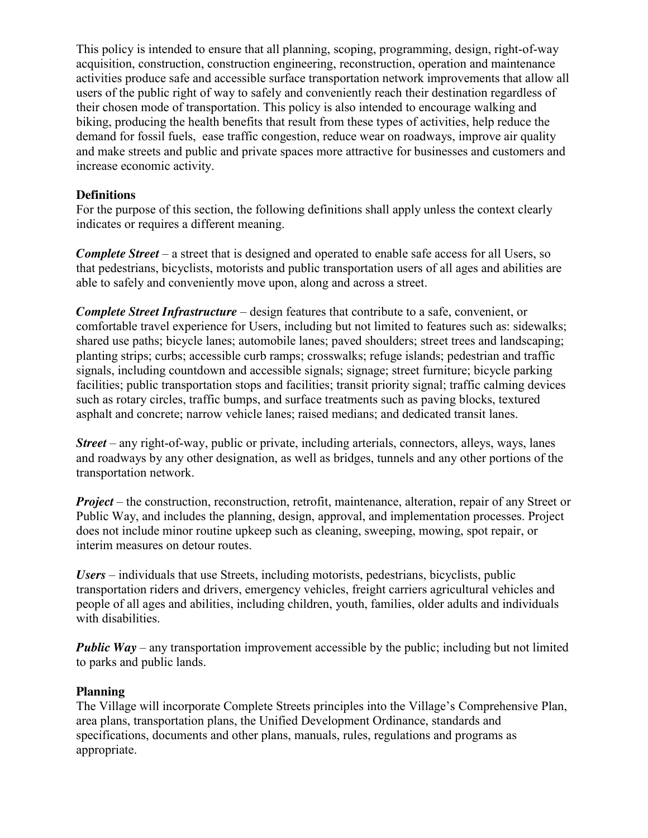This policy is intended to ensure that all planning, scoping, programming, design, right-of-way acquisition, construction, construction engineering, reconstruction, operation and maintenance activities produce safe and accessible surface transportation network improvements that allow all users of the public right of way to safely and conveniently reach their destination regardless of their chosen mode of transportation. This policy is also intended to encourage walking and biking, producing the health benefits that result from these types of activities, help reduce the demand for fossil fuels, ease traffic congestion, reduce wear on roadways, improve air quality and make streets and public and private spaces more attractive for businesses and customers and increase economic activity.

#### **Definitions**

For the purpose of this section, the following definitions shall apply unless the context clearly indicates or requires a different meaning.

*Complete Street* – a street that is designed and operated to enable safe access for all Users, so that pedestrians, bicyclists, motorists and public transportation users of all ages and abilities are able to safely and conveniently move upon, along and across a street.

*Complete Street Infrastructure* – design features that contribute to a safe, convenient, or comfortable travel experience for Users, including but not limited to features such as: sidewalks; shared use paths; bicycle lanes; automobile lanes; paved shoulders; street trees and landscaping; planting strips; curbs; accessible curb ramps; crosswalks; refuge islands; pedestrian and traffic signals, including countdown and accessible signals; signage; street furniture; bicycle parking facilities; public transportation stops and facilities; transit priority signal; traffic calming devices such as rotary circles, traffic bumps, and surface treatments such as paving blocks, textured asphalt and concrete; narrow vehicle lanes; raised medians; and dedicated transit lanes.

*Street* – any right-of-way, public or private, including arterials, connectors, alleys, ways, lanes and roadways by any other designation, as well as bridges, tunnels and any other portions of the transportation network.

*Project* – the construction, reconstruction, retrofit, maintenance, alteration, repair of any Street or Public Way, and includes the planning, design, approval, and implementation processes. Project does not include minor routine upkeep such as cleaning, sweeping, mowing, spot repair, or interim measures on detour routes.

*Users* – individuals that use Streets, including motorists, pedestrians, bicyclists, public transportation riders and drivers, emergency vehicles, freight carriers agricultural vehicles and people of all ages and abilities, including children, youth, families, older adults and individuals with disabilities.

*Public Way* – any transportation improvement accessible by the public; including but not limited to parks and public lands.

## **Planning**

The Village will incorporate Complete Streets principles into the Village's Comprehensive Plan, area plans, transportation plans, the Unified Development Ordinance, standards and specifications, documents and other plans, manuals, rules, regulations and programs as appropriate.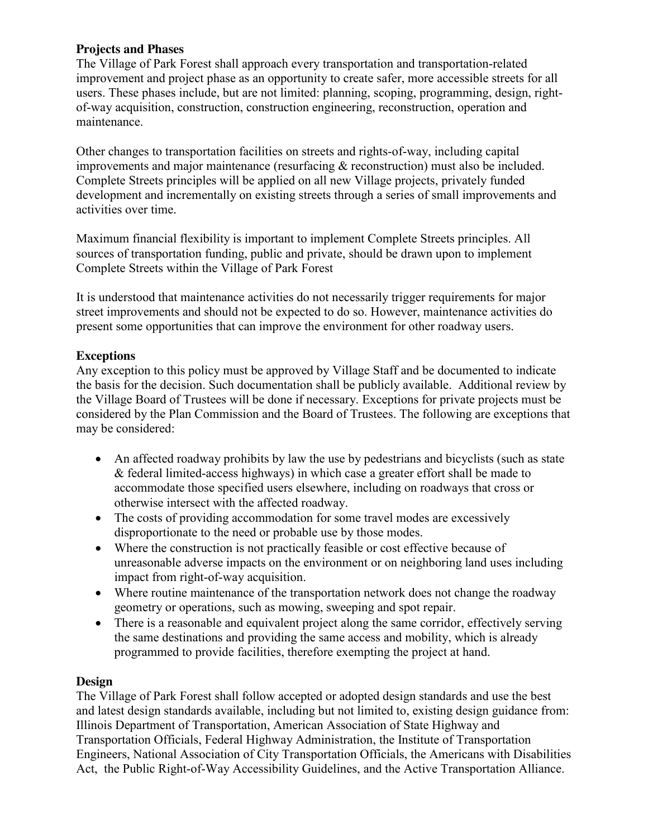#### **Projects and Phases**

The Village of Park Forest shall approach every transportation and transportation-related improvement and project phase as an opportunity to create safer, more accessible streets for all users. These phases include, but are not limited: planning, scoping, programming, design, rightof-way acquisition, construction, construction engineering, reconstruction, operation and maintenance.

Other changes to transportation facilities on streets and rights-of-way, including capital improvements and major maintenance (resurfacing & reconstruction) must also be included. Complete Streets principles will be applied on all new Village projects, privately funded development and incrementally on existing streets through a series of small improvements and activities over time.

Maximum financial flexibility is important to implement Complete Streets principles. All sources of transportation funding, public and private, should be drawn upon to implement Complete Streets within the Village of Park Forest

It is understood that maintenance activities do not necessarily trigger requirements for major street improvements and should not be expected to do so. However, maintenance activities do present some opportunities that can improve the environment for other roadway users.

## **Exceptions**

Any exception to this policy must be approved by Village Staff and be documented to indicate the basis for the decision. Such documentation shall be publicly available. Additional review by the Village Board of Trustees will be done if necessary. Exceptions for private projects must be considered by the Plan Commission and the Board of Trustees. The following are exceptions that may be considered:

- An affected roadway prohibits by law the use by pedestrians and bicyclists (such as state & federal limited-access highways) in which case a greater effort shall be made to accommodate those specified users elsewhere, including on roadways that cross or otherwise intersect with the affected roadway.
- The costs of providing accommodation for some travel modes are excessively disproportionate to the need or probable use by those modes.
- Where the construction is not practically feasible or cost effective because of unreasonable adverse impacts on the environment or on neighboring land uses including impact from right-of-way acquisition.
- Where routine maintenance of the transportation network does not change the roadway geometry or operations, such as mowing, sweeping and spot repair.
- There is a reasonable and equivalent project along the same corridor, effectively serving the same destinations and providing the same access and mobility, which is already programmed to provide facilities, therefore exempting the project at hand.

## **Design**

The Village of Park Forest shall follow accepted or adopted design standards and use the best and latest design standards available, including but not limited to, existing design guidance from: Illinois Department of Transportation, American Association of State Highway and Transportation Officials, Federal Highway Administration, the Institute of Transportation Engineers, National Association of City Transportation Officials, the Americans with Disabilities Act, the Public Right-of-Way Accessibility Guidelines, and the Active Transportation Alliance.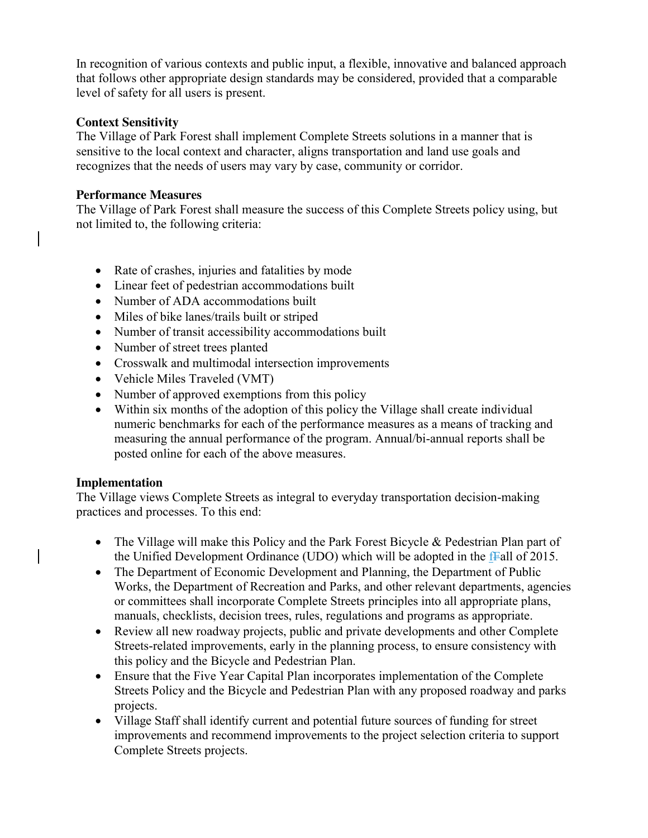In recognition of various contexts and public input, a flexible, innovative and balanced approach that follows other appropriate design standards may be considered, provided that a comparable level of safety for all users is present.

## **Context Sensitivity**

The Village of Park Forest shall implement Complete Streets solutions in a manner that is sensitive to the local context and character, aligns transportation and land use goals and recognizes that the needs of users may vary by case, community or corridor.

#### **Performance Measures**

The Village of Park Forest shall measure the success of this Complete Streets policy using, but not limited to, the following criteria:

- Rate of crashes, injuries and fatalities by mode
- Linear feet of pedestrian accommodations built
- Number of ADA accommodations built
- Miles of bike lanes/trails built or striped
- Number of transit accessibility accommodations built
- Number of street trees planted
- Crosswalk and multimodal intersection improvements
- Vehicle Miles Traveled (VMT)
- Number of approved exemptions from this policy
- Within six months of the adoption of this policy the Village shall create individual numeric benchmarks for each of the performance measures as a means of tracking and measuring the annual performance of the program. Annual/bi-annual reports shall be posted online for each of the above measures.

## **Implementation**

The Village views Complete Streets as integral to everyday transportation decision-making practices and processes. To this end:

- The Village will make this Policy and the Park Forest Bicycle & Pedestrian Plan part of the Unified Development Ordinance (UDO) which will be adopted in the fFall of 2015.
- The Department of Economic Development and Planning, the Department of Public Works, the Department of Recreation and Parks, and other relevant departments, agencies or committees shall incorporate Complete Streets principles into all appropriate plans, manuals, checklists, decision trees, rules, regulations and programs as appropriate.
- Review all new roadway projects, public and private developments and other Complete Streets-related improvements, early in the planning process, to ensure consistency with this policy and the Bicycle and Pedestrian Plan.
- Ensure that the Five Year Capital Plan incorporates implementation of the Complete Streets Policy and the Bicycle and Pedestrian Plan with any proposed roadway and parks projects.
- Village Staff shall identify current and potential future sources of funding for street improvements and recommend improvements to the project selection criteria to support Complete Streets projects.